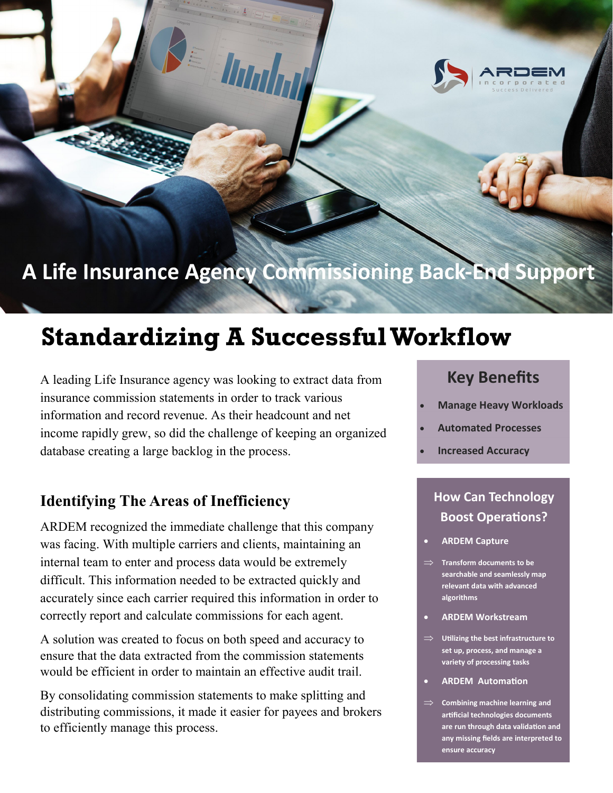

## A Life Insurance Agency Commissioning Back-End Support

# **Standardizing A Successful Workflow**

Ungh

A leading Life Insurance agency was looking to extract data from insurance commission statements in order to track various information and record revenue. As their headcount and net income rapidly grew, so did the challenge of keeping an organized database creating a large backlog in the process.

#### **Identifying The Areas of Inefficiency**

ARDEM recognized the immediate challenge that this company was facing. With multiple carriers and clients, maintaining an internal team to enter and process data would be extremely difficult. This information needed to be extracted quickly and accurately since each carrier required this information in order to correctly report and calculate commissions for each agent.

A solution was created to focus on both speed and accuracy to ensure that the data extracted from the commission statements would be efficient in order to maintain an effective audit trail.

By consolidating commission statements to make splitting and distributing commissions, it made it easier for payees and brokers to efficiently manage this process.

## **Key Benefits Key Benefits**

- **Looking to Automate Fically VVC • Manage Heavy Workloads**
- **Automated Processes**
- Are you still using • **Improve** • **Increased Accuracy**

valuable human

#### **How Can Technology** Roost Operation **Boost Operations?**

- **• ARDEM Capture**
- Are you still using your **searchable and seamlessly map**  relevant data with advanced **algorithms** and see if  $\alpha$ **Transform documents to be**
- **•** ARDEM Workstream
- **Utilizing the best infrastructure to** <br> **Cortium** assesses and monoge a **set up, process, and manage a variety of processing tasks**
- Are you still using your **•** ARDEM Automation
- $\Rightarrow$  Combining machine learning and artificial technologies documents are run through data validation and<br>any missing fields are interpreted to **are run through data validation and ensure accuracy**